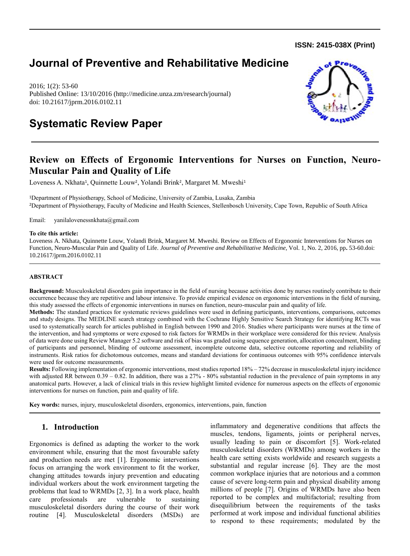**ISSN: 2415-038X (Print)** 

# **Journal of Preventive and Rehabilitative Medicine**

2016; 1(2): 53-60 Published Online: 13/10/2016 (http://medicine.unza.zm/research/journal) doi: 10.21617/jprm.2016.0102.11



## **Systematic Review Paper**

## **Review on Effects of Ergonomic Interventions for Nurses on Function, Neuro-Muscular Pain and Quality of Life**

Loveness A. Nkhata<sup>1</sup>, Quinnette Louw<sup>2</sup>, Yolandi Brink<sup>2</sup>, Margaret M. Mweshi<sup>1</sup>

<sup>1</sup>Department of Physiotherapy, School of Medicine, University of Zambia, Lusaka, Zambia <sup>2</sup>Department of Physiotherapy, Faculty of Medicine and Health Sciences, Stellenbosch University, Cape Town, Republic of South Africa

Email: yanilalovenessnkhata@gmail.com

#### **To cite this article:**

Loveness A. Nkhata, Quinnette Louw, Yolandi Brink, Margaret M. Mweshi. Review on Effects of Ergonomic Interventions for Nurses on Function, Neuro-Muscular Pain and Quality of Life. *Journal of Preventive and Rehabilitative Medicine,* Vol. 1, No. 2, 2016, pp**.** 53-60.doi: 10.21617/jprm.2016.0102.11

#### **ABSTRACT**

**Background:** Musculoskeletal disorders gain importance in the field of nursing because activities done by nurses routinely contribute to their occurrence because they are repetitive and labour intensive. To provide empirical evidence on ergonomic interventions in the field of nursing, this study assessed the effects of ergonomic interventions in nurses on function, neuro-muscular pain and quality of life.

**Methods:** The standard practices for systematic reviews guidelines were used in defining participants, interventions, comparisons, outcomes and study designs. The MEDLINE search strategy combined with the Cochrane Highly Sensitive Search Strategy for identifying RCTs was used to systematically search for articles published in English between 1990 and 2016. Studies where participants were nurses at the time of the intervention, and had symptoms or were exposed to risk factors for WRMDs in their workplace were considered for this review. Analysis of data were done using Review Manager 5.2 software and risk of bias was graded using sequence generation, allocation concealment, blinding of participants and personnel, blinding of outcome assessment, incomplete outcome data, selective outcome reporting and reliability of instruments. Risk ratios for dichotomous outcomes, means and standard deviations for continuous outcomes with 95% confidence intervals were used for outcome measurements.

Results: Following implementation of ergonomic interventions, most studies reported 18% – 72% decrease in musculoskeletal injury incidence with adjusted RR between  $0.39 - 0.82$ . In addition, there was a  $27%$  -  $80%$  substantial reduction in the prevalence of pain symptoms in any anatomical parts. However, a lack of clinical trials in this review highlight limited evidence for numerous aspects on the effects of ergonomic interventions for nurses on function, pain and quality of life.

**Key words:** nurses, injury, musculoskeletal disorders, ergonomics, interventions, pain, function

### **1. Introduction**

Ergonomics is defined as adapting the worker to the work environment while, ensuring that the most favourable safety and production needs are met [1]. Ergonomic interventions focus on arranging the work environment to fit the worker, changing attitudes towards injury prevention and educating individual workers about the work environment targeting the problems that lead to WRMDs [2, 3]. In a work place, health care professionals are vulnerable to sustaining musculoskeletal disorders during the course of their work routine [4]. Musculoskeletal disorders (MSDs) are inflammatory and degenerative conditions that affects the muscles, tendons, ligaments, joints or peripheral nerves, usually leading to pain or discomfort [5]. Work-related musculoskeletal disorders (WRMDs) among workers in the health care setting exists worldwide and research suggests a substantial and regular increase [6]. They are the most common workplace injuries that are notorious and a common cause of severe long-term pain and physical disability among millions of people [7]. Origins of WRMDs have also been reported to be complex and multifactorial; resulting from disequilibrium between the requirements of the tasks performed at work impose and individual functional abilities to respond to these requirements; modulated by the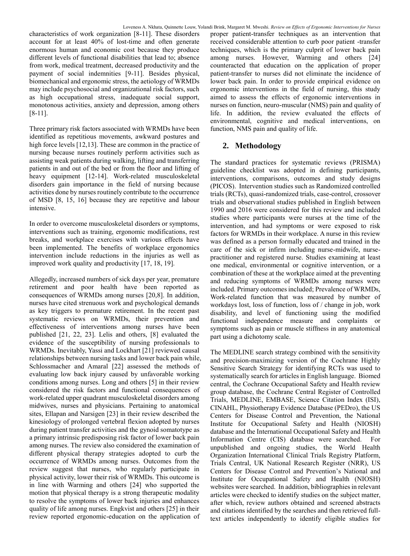characteristics of work organization [8-11]. These disorders account for at least 40% of lost-time and often generate enormous human and economic cost because they produce different levels of functional disabilities that lead to; absence from work, medical treatment, decreased productivity and the payment of social indemnities [9-11]. Besides physical, biomechanical and ergonomic stress, the aetiology of WRMDs may include psychosocial and organizational risk factors, such as high occupational stress, inadequate social support, monotonous activities, anxiety and depression, among others [8-11].

Three primary risk factors associated with WRMDs have been identified as repetitious movements, awkward postures and high force levels [12,13]. These are common in the practice of nursing because nurses routinely perform activities such as assisting weak patients during walking, lifting and transferring patients in and out of the bed or from the floor and lifting of heavy equipment [12-14]. Work-related musculoskeletal disorders gain importance in the field of nursing because activities done by nurses routinely contribute to the occurrence of MSD [8, 15, 16] because they are repetitive and labour intensive.

In order to overcome musculoskeletal disorders or symptoms, interventions such as training, ergonomic modifications, rest breaks, and workplace exercises with various effects have been implemented. The benefits of workplace ergonomics intervention include reductions in the injuries as well as improved work quality and productivity [17, 18, 19].

Allegedly, increased numbers of sick days per year, premature retirement and poor health have been reported as consequences of WRMDs among nurses [20,8]. In addition, nurses have cited strenuous work and psychological demands as key triggers to premature retirement. In the recent past systematic reviews on WRMDs, their prevention and effectiveness of interventions among nurses have been published [21, 22, 23]. Lelis and others, [8] evaluated the evidence of the susceptibility of nursing professionals to WRMDs. Inevitably, Yassi and Lockhart [21] reviewed causal relationships between nursing tasks and lower back pain while, Schlossmacher and Amaral [22] assessed the methods of evaluating low back injury caused by unfavorable working conditions among nurses. Long and others [5] in their review considered the risk factors and functional consequences of work-related upper quadrant musculoskeletal disorders among midwives, nurses and physicians. Pertaining to anatomical sites, Ellapan and Narsigen [23] in their review described the kinesiology of prolonged vertebral flexion adopted by nurses during patient transfer activities and the gynoid somatotype as a primary intrinsic predisposing risk factor of lower back pain among nurses. The review also considered the examination of different physical therapy strategies adopted to curb the occurrence of WRMDs among nurses. Outcomes from the review suggest that nurses, who regularly participate in physical activity, lower their risk of WRMDs. This outcome is in line with Warming and others [24] who supported the motion that physical therapy is a strong therapeutic modality to resolve the symptoms of lower back injuries and enhances quality of life among nurses. Engkvist and others [25] in their review reported ergonomic-education on the application of

proper patient-transfer techniques as an intervention that received considerable attention to curb poor patient -transfer techniques, which is the primary culprit of lower back pain among nurses. However, Warming and others [24] counteracted that education on the application of proper patient-transfer to nurses did not eliminate the incidence of lower back pain. In order to provide empirical evidence on ergonomic interventions in the field of nursing, this study aimed to assess the effects of ergonomic interventions in nurses on function, neuro-muscular (NMS) pain and quality of life. In addition, the review evaluated the effects of environmental, cognitive and medical interventions, on function, NMS pain and quality of life.

## **2. Methodology**

The standard practices for systematic reviews (PRISMA) guideline checklist was adopted in defining participants, interventions, comparisons, outcomes and study designs (PICOS). Intervention studies such as Randomized controlled trials (RCTs), quasi-randomized trials, case-control, crossover trials and observational studies published in English between 1990 and 2016 were considered for this review and included studies where participants were nurses at the time of the intervention, and had symptoms or were exposed to risk factors for WRMDs in their workplace. A nurse in this review was defined as a person formally educated and trained in the care of the sick or infirm including nurse-midwife, nursepractitioner and registered nurse. Studies examining at least one medical, environmental or cognitive intervention, or a combination of these at the workplace aimed at the preventing and reducing symptoms of WRMDs among nurses were included. Primary outcomes included; Prevalence of WRMDs, Work-related function that was measured by number of workdays lost, loss of function, loss of / change in job, work disability, and level of functioning using the modified functional independence measure and complaints or symptoms such as pain or muscle stiffness in any anatomical part using a dichotomy scale.

The MEDLINE search strategy combined with the sensitivity and precision-maximizing version of the Cochrane Highly Sensitive Search Strategy for identifying RCTs was used to systematically search for articles in English language. Biomed central, the Cochrane Occupational Safety and Health review group database, the Cochrane Central Register of Controlled Trials, MEDLINE, EMBASE, Science Citation Index (ISI), CINAHL, Physiotherapy Evidence Database (PEDro), the US Centers for Disease Control and Prevention, the National Institute for Occupational Safety and Health (NIOSH) database and the International Occupational Safety and Health Information Centre (CIS) database were searched. For unpublished and ongoing studies, the World Health Organization International Clinical Trials Registry Platform, Trials Central, UK National Research Register (NRR), US Centers for Disease Control and Prevention's National and Institute for Occupational Safety and Health (NIOSH) websites were searched. In addition, bibliographies in relevant articles were checked to identify studies on the subject matter, after which, review authors obtained and screened abstracts and citations identified by the searches and then retrieved fulltext articles independently to identify eligible studies for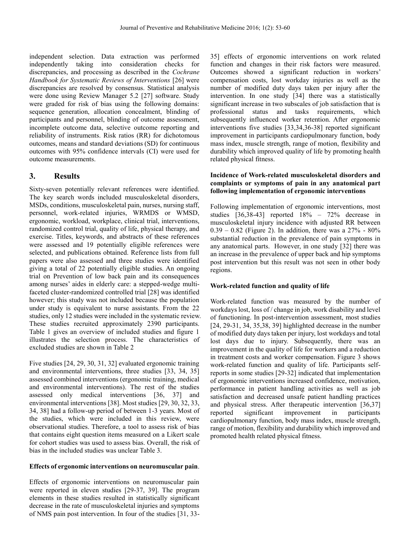independent selection. Data extraction was performed independently taking into consideration checks for discrepancies, and processing as described in the *Cochrane Handbook for Systematic Reviews of Interventions* [26] were discrepancies are resolved by consensus. Statistical analysis were done using Review Manager 5.2 [27] software. Study were graded for risk of bias using the following domains: sequence generation, allocation concealment, blinding of participants and personnel, blinding of outcome assessment, incomplete outcome data, selective outcome reporting and reliability of instruments. Risk ratios (RR) for dichotomous outcomes, means and standard deviations (SD) for continuous outcomes with 95% confidence intervals (CI) were used for outcome measurements.

## **3. Results**

Sixty-seven potentially relevant references were identified. The key search words included musculoskeletal disorders, MSDs, conditions, musculoskeletal pain, nurses, nursing staff, personnel, work-related injuries, WRMDS or WMSD, ergonomic, workload, workplace, clinical trial, interventions, randomized control trial, quality of life, physical therapy, and exercise. Titles, keywords, and abstracts of these references were assessed and 19 potentially eligible references were selected, and publications obtained. Reference lists from full papers were also assessed and three studies were identified giving a total of 22 potentially eligible studies. An ongoing trial on Prevention of low back pain and its consequences among nurses' aides in elderly care: a stepped-wedge multifaceted cluster-randomized controlled trial [28] was identified however; this study was not included because the population under study is equivalent to nurse assistants. From the 22 studies, only 12 studies were included in the systematic review. These studies recruited approximately 2390 participants. Table 1 gives an overview of included studies and figure 1 illustrates the selection process. The characteristics of excluded studies are shown in Table 2

Five studies [24, 29, 30, 31, 32] evaluated ergonomic training and environmental interventions, three studies [33, 34, 35] assessed combined interventions (ergonomic training, medical and environmental interventions). The rest of the studies assessed only medical interventions [36, 37] and environmental interventions [38]. Most studies [29, 30, 32, 33, 34, 38] had a follow-up period of between 1-3 years. Most of the studies, which were included in this review, were observational studies. Therefore, a tool to assess risk of bias that contains eight question items measured on a Likert scale for cohort studies was used to assess bias. Overall, the risk of bias in the included studies was unclear Table 3.

#### **Effects of ergonomic interventions on neuromuscular pain**.

Effects of ergonomic interventions on neuromuscular pain were reported in eleven studies [29-37, 39]. The program elements in these studies resulted in statistically significant decrease in the rate of musculoskeletal injuries and symptoms of NMS pain post intervention. In four of the studies [31, 3335] effects of ergonomic interventions on work related function and changes in their risk factors were measured. Outcomes showed a significant reduction in workers' compensation costs, lost workday injuries as well as the number of modified duty days taken per injury after the intervention. In one study [34] there was a statistically significant increase in two subscales of job satisfaction that is professional status and tasks requirements, which subsequently influenced worker retention. After ergonomic interventions five studies [33,34,36-38] reported significant improvement in participants cardiopulmonary function, body mass index, muscle strength, range of motion, flexibility and durability which improved quality of life by promoting health related physical fitness.

#### **Incidence of Work-related musculoskeletal disorders and complaints or symptoms of pain in any anatomical part following implementation of ergonomic interventions**

Following implementation of ergonomic interventions, most studies [36,38-43] reported 18% – 72% decrease in musculoskeletal injury incidence with adjusted RR between  $0.39 - 0.82$  (Figure 2). In addition, there was a  $27\% - 80\%$ substantial reduction in the prevalence of pain symptoms in any anatomical parts. However, in one study [32] there was an increase in the prevalence of upper back and hip symptoms post intervention but this result was not seen in other body regions.

#### **Work-related function and quality of life**

Work-related function was measured by the number of workdays lost, loss of / change in job, work disability and level of functioning. In post-intervention assessment, most studies [24, 29-31, 34, 35,38, 39] highlighted decrease in the number of modified duty days taken per injury, lost workdays and total lost days due to injury. Subsequently, there was an improvement in the quality of life for workers and a reduction in treatment costs and worker compensation. Figure 3 shows work-related function and quality of life. Participants selfreports in some studies [29-32] indicated that implementation of ergonomic interventions increased confidence, motivation, performance in patient handling activities as well as job satisfaction and decreased unsafe patient handling practices and physical stress. After therapeutic intervention [36,37] reported significant improvement in participants cardiopulmonary function, body mass index, muscle strength, range of motion, flexibility and durability which improved and promoted health related physical fitness.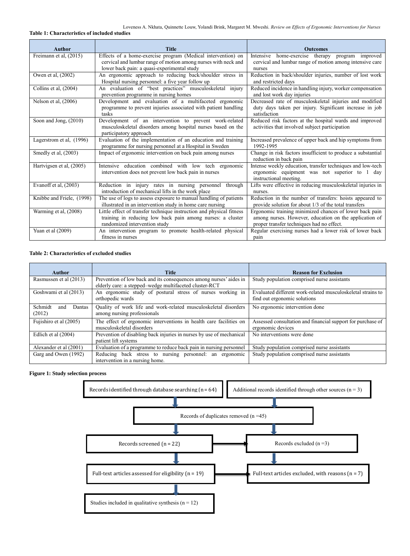#### **Table 1: Characteristics of included studies**

| Author                    | Title                                                                                                                                                                         | <b>Outcomes</b>                                                                                                                                                |
|---------------------------|-------------------------------------------------------------------------------------------------------------------------------------------------------------------------------|----------------------------------------------------------------------------------------------------------------------------------------------------------------|
| Freimann et al. (2015)    | Effects of a home-exercise program (Medical intervention) on<br>cervical and lumbar range of motion among nurses with neck and<br>lower back pain: a quasi-experimental study | Intensive home-exercise therapy program improved<br>cervical and lumbar range of motion among intensive care<br>nurses                                         |
| Owen et al, (2002)        | An ergonomic approach to reducing back/shoulder stress in<br>Hospital nursing personnel: a five year follow up                                                                | Reduction in back/shoulder injuries, number of lost work<br>and restricted days                                                                                |
| Collins et al. (2004)     | An evaluation of "best practices" musculoskeletal injury<br>prevention programme in nursing homes                                                                             | Reduced incidence in handling injury, worker compensation<br>and lost work day injuries                                                                        |
| Nelson et al, (2006)      | Development and evaluation of a multifaceted ergonomic<br>programme to prevent injuries associated with patient handling<br>tasks                                             | Decreased rate of musculoskeletal injuries and modified<br>duty days taken per injury. Significant increase in job<br>satisfaction                             |
| Soon and Jong, (2010)     | Development of an intervention to prevent work-related<br>musculoskeletal disorders among hospital nurses based on the<br>participatory approach                              | Reduced risk factors at the hospital wards and improved<br>activities that involved subject participation                                                      |
| Lagerstrom et al, (1996)  | Evaluation of the implementation of an education and training<br>programme for nursing personnel at a Hospital in Sweden                                                      | Increased prevalence of upper back and hip symptoms from<br>1992-1995                                                                                          |
| Smedly et al. (2003)      | Impact of ergonomic intervention on back pain among nurses                                                                                                                    | Change in risk factors insufficient to produce a substantial<br>reduction in back pain                                                                         |
| Hartvigsen et al. (2005)  | Intensive education combined with low tech ergonomic<br>intervention does not prevent low back pain in nurses                                                                 | Intense weekly education, transfer techniques and low-tech<br>ergonomic equipment was not superior to 1 day<br>instructional meeting.                          |
| Evanoff et al. $(2003)$   | Reduction in injury rates in nursing personnel through<br>introduction of mechanical lifts in the work place                                                                  | Lifts were effective in reducing musculoskeletal injuries in<br>nurses.                                                                                        |
| Knibbe and Friele, (1998) | The use of logs to assess exposure to manual handling of patients<br>illustrated in an intervention study in home care nursing                                                | Reduction in the number of transfers: hoists appeared to<br>provide solution for about 1/3 of the total transfers                                              |
| Warming et al, (2008)     | Little effect of transfer technique instruction and physical fitness<br>training in reducing low back pain among nurses: a cluster<br>randomized intervention study           | Ergonomic training minimized chances of lower back pain<br>among nurses. However, education on the application of<br>proper transfer techniques had no effect. |
| Yuan et al $(2009)$       | An intervention program to promote health-related physical<br>fitness in nurses                                                                                               | Regular exercising nurses had a lower risk of lower back<br>pain                                                                                               |

#### **Table 2: Characteristics of excluded studies**

| <b>Author</b>                      | <b>Title</b>                                                                                                                 | <b>Reason for Exclusion</b>                                                                 |
|------------------------------------|------------------------------------------------------------------------------------------------------------------------------|---------------------------------------------------------------------------------------------|
| Rasmussen et al (2013)             | Prevention of low back and its consequences among nurses' aides in<br>elderly care: a stepped-wedge multifaceted cluster-RCT | Study population comprised nurse assistants                                                 |
| Goshwami et al (2013)              | An ergonomic study of postural stress of nurses working in<br>orthopedic wards                                               | Evaluated different work-related musculoskeletal strains to<br>find out ergonomic solutions |
| Schmidt<br>Dantas<br>and<br>(2012) | Quality of work life and work-related musculoskeletal disorders<br>among nursing professionals                               | No ergonomic intervention done                                                              |
| Fujishiro et al $(2005)$           | The effect of ergonomic interventions in health care facilities on<br>musculoskeletal disorders                              | Assessed consultation and financial support for purchase of<br>ergonomic devices            |
| Edlich et al (2004)                | Prevention of disabling back injuries in nurses by use of mechanical<br>patient lift systems                                 | No interventions were done                                                                  |
| Alexander et al (2001)             | Evaluation of a programme to reduce back pain in nursing personnel                                                           | Study population comprised nurse assistants                                                 |
| Garg and Owen (1992)               | Reducing back stress to nursing personnel: an ergonomic<br>intervention in a nursing home.                                   | Study population comprised nurse assistants                                                 |

#### **Figure 1: Study selection process**

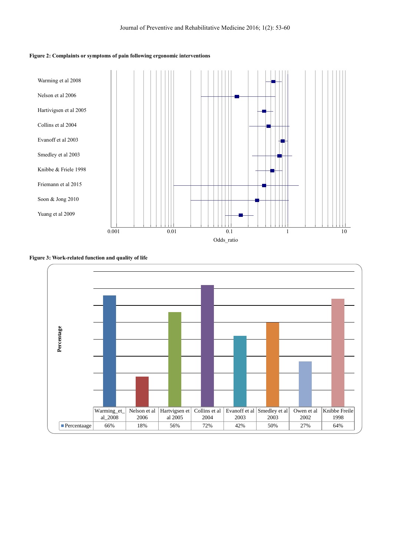#### **Figure 2: Complaints or symptoms of pain following ergonomic interventions**



**Figure 3: Work-related function and quality of life**

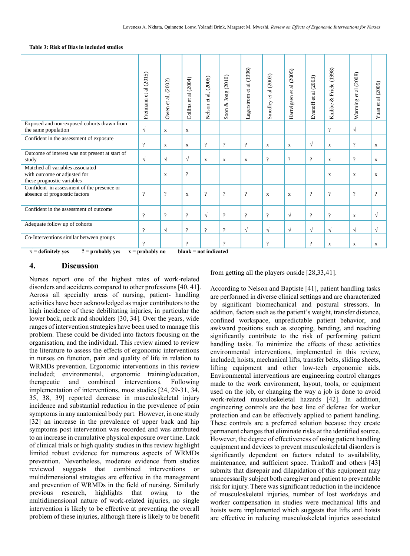#### **Table 3: Risk of Bias in included studies**

|                                                                                                     | Freimann et al (2015) | Owen et al, (2002) | Collins et al (2004)     | Nelson et al, (2006) | Soon & Jong (2010) | Lagerstrom et al (1996)  | et al (2003)<br>Smedley  | Hartvigsen et al (2005) | al $(2003)$<br>Evanoff et | & Friele (1998)<br>Knibbe | al (2008)<br>$\vec{c}$<br>Warming | (2009)<br>$et$ al<br>Yuan <sup>{</sup> |
|-----------------------------------------------------------------------------------------------------|-----------------------|--------------------|--------------------------|----------------------|--------------------|--------------------------|--------------------------|-------------------------|---------------------------|---------------------------|-----------------------------------|----------------------------------------|
| Exposed and non-exposed cohorts drawn from<br>the same population                                   | $\sqrt{}$             | $\mathbf x$        | $\mathbf X$              |                      |                    |                          |                          |                         |                           | $\overline{?}$            | $\sqrt{ }$                        |                                        |
| Confident in the assessment of exposure                                                             | $\overline{\cdot}$    | X                  | X                        | $\overline{?}$       | $\gamma$           | $\overline{\mathcal{L}}$ | X                        | $\mathbf X$             | $\sqrt{}$                 | X                         | $\overline{\cdot}$                | X                                      |
| Outcome of interest was not present at start of<br>study                                            | $\sqrt{}$             | $\sqrt{ }$         | $\sqrt{ }$               | $\mathbf X$          | X                  | X                        | $\overline{\mathcal{L}}$ | $\gamma$                | $\gamma$                  | X                         | $\overline{\cdot}$                | X                                      |
| Matched all variables associated<br>with outcome or adjusted for<br>these prognostic variables      |                       | $\mathbf X$        | $\overline{\mathcal{L}}$ |                      |                    |                          |                          |                         |                           | X                         | X                                 | X                                      |
| Confident in assessment of the presence or<br>absence of prognostic factors                         | $\gamma$              | $\overline{?}$     | $\mathbf X$              | $\gamma$             | $\gamma$           | $\gamma$                 | $\mathbf X$              | $\mathbf x$             | $\gamma$                  | $\overline{?}$            | $\overline{?}$                    | $\gamma$                               |
| Confident in the assessment of outcome                                                              | $\gamma$              | $\gamma$           | $\gamma$                 | $\sqrt{ }$           | $\gamma$           | $\gamma$                 | $\overline{?}$           | $\sqrt{ }$              | $\gamma$                  | $\gamma$                  | $\mathbf x$                       | $\sqrt{ }$                             |
| Adequate follow up of cohorts                                                                       | $\overline{?}$        | $\sqrt{ }$         | $\overline{?}$           | $\gamma$             | $\gamma$           | $\sqrt{ }$               | $\sqrt{ }$               | $\sqrt{ }$              | $\sqrt{ }$                | $\sqrt{ }$                | $\sqrt{ }$                        | $\sqrt{ }$                             |
| Co-Interventions similar between groups                                                             | $\Omega$              |                    | $\gamma$                 |                      | $\Omega$           |                          | $\overline{?}$           |                         | $\overline{?}$            | $\mathbf X$               | X                                 | X                                      |
| $\sqrt{\ }$ = definitely ves<br>blank = not indicated<br>$? = probability yes$<br>$x =$ probably no |                       |                    |                          |                      |                    |                          |                          |                         |                           |                           |                                   |                                        |

### **4. Discussion**

Nurses report one of the highest rates of work-related disorders and accidents compared to other professions [40, 41]. Across all specialty areas of nursing, patient- handling activities have been acknowledged as major contributors to the high incidence of these debilitating injuries, in particular the lower back, neck and shoulders [30, 34]. Over the years, wide ranges of intervention strategies have been used to manage this problem. These could be divided into factors focusing on the organisation, and the individual. This review aimed to review the literature to assess the effects of ergonomic interventions in nurses on function, pain and quality of life in relation to WRMDs prevention. Ergonomic interventions in this review included; environmental, ergonomic training/education, therapeutic and combined interventions. Following implementation of interventions, most studies [24, 29-31, 34, 35, 38, 39] reported decrease in musculoskeletal injury incidence and substantial reduction in the prevalence of pain symptoms in any anatomical body part. However, in one study [32] an increase in the prevalence of upper back and hip symptoms post intervention was recorded and was attributed to an increase in cumulative physical exposure over time. Lack of clinical trials or high quality studies in this review highlight limited robust evidence for numerous aspects of WRMDs prevention. Nevertheless, moderate evidence from studies reviewed suggests that combined interventions or multidimensional strategies are effective in the management and prevention of WRMDs in the field of nursing. Similarly previous research, highlights that owing to the multidimensional nature of work-related injuries, no single intervention is likely to be effective at preventing the overall problem of these injuries, although there is likely to be benefit

from getting all the players onside [28,33,41].

According to Nelson and Baptiste [41], patient handling tasks are performed in diverse clinical settings and are characterized by significant biomechanical and postural stressors. In addition, factors such as the patient's weight, transfer distance, confined workspace, unpredictable patient behavior, and awkward positions such as stooping, bending, and reaching significantly contribute to the risk of performing patient handling tasks. To minimize the effects of these activities environmental interventions, implemented in this review, included; hoists, mechanical lifts, transfer belts, sliding sheets, lifting equipment and other low-tech ergonomic aids. Environmental interventions are engineering control changes made to the work environment, layout, tools, or equipment used on the job, or changing the way a job is done to avoid work-related musculoskeletal hazards [42]. In addition, engineering controls are the best line of defense for worker protection and can be effectively applied to patient handling. These controls are a preferred solution because they create permanent changes that eliminate risks at the identified source. However, the degree of effectiveness of using patient handling equipment and devices to prevent musculoskeletal disorders is significantly dependent on factors related to availability, maintenance, and sufficient space. Trinkoff and others [43] submits that disrepair and dilapidation of this equipment may unnecessarily subject both caregiver and patient to preventable risk for injury. There was significant reduction in the incidence of musculoskeletal injuries, number of lost workdays and worker compensation in studies were mechanical lifts and hoists were implemented which suggests that lifts and hoists are effective in reducing musculoskeletal injuries associated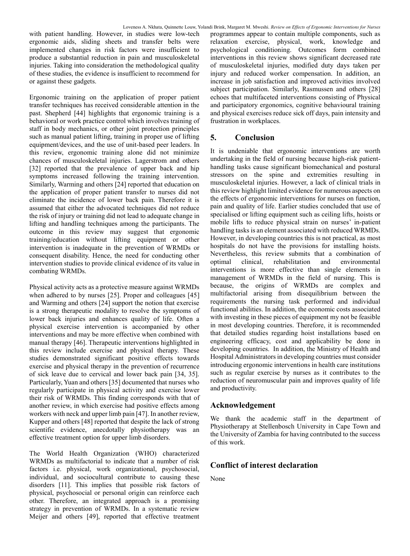with patient handling. However, in studies were low-tech ergonomic aids, sliding sheets and transfer belts were implemented changes in risk factors were insufficient to produce a substantial reduction in pain and musculoskeletal injuries. Taking into consideration the methodological quality of these studies, the evidence is insufficient to recommend for or against these gadgets.

Ergonomic training on the application of proper patient transfer techniques has received considerable attention in the past. Shepherd [44] highlights that ergonomic training is a behavioral or work practice control which involves training of staff in body mechanics, or other joint protection principles such as manual patient lifting, training in proper use of lifting equipment/devices, and the use of unit-based peer leaders. In this review, ergonomic training alone did not minimize chances of musculoskeletal injuries. Lagerstrom and others [32] reported that the prevalence of upper back and hip symptoms increased following the training intervention. Similarly, Warming and others [24] reported that education on the application of proper patient transfer to nurses did not eliminate the incidence of lower back pain. Therefore it is assumed that either the advocated techniques did not reduce the risk of injury or training did not lead to adequate change in lifting and handling techniques among the participants. The outcome in this review may suggest that ergonomic training/education without lifting equipment or other intervention is inadequate in the prevention of WRMDs or consequent disability. Hence, the need for conducting other intervention studies to provide clinical evidence of its value in combating WRMDs.

Physical activity acts as a protective measure against WRMDs when adhered to by nurses [25]. Proper and colleagues [45] and Warming and others [24] support the notion that exercise is a strong therapeutic modality to resolve the symptoms of lower back injuries and enhances quality of life. Often a physical exercise intervention is accompanied by other interventions and may be more effective when combined with manual therapy [46]. Therapeutic interventions highlighted in this review include exercise and physical therapy. These studies demonstrated significant positive effects towards exercise and physical therapy in the prevention of recurrence of sick leave due to cervical and lower back pain [34, 35]. Particularly, Yuan and others [35] documented that nurses who regularly participate in physical activity and exercise lower their risk of WRMDs. This finding corresponds with that of another review, in which exercise had positive effects among workers with neck and upper limb pain [47]. In another review, Kupper and others [48] reported that despite the lack of strong scientific evidence, anecdotally physiotherapy was an effective treatment option for upper limb disorders.

The World Health Organization (WHO) characterized WRMDs as multifactorial to indicate that a number of risk factors i.e. physical, work organizational, psychosocial, individual, and sociocultural contribute to causing these disorders [11]. This implies that possible risk factors of physical, psychosocial or personal origin can reinforce each other. Therefore, an integrated approach is a promising strategy in prevention of WRMDs. In a systematic review Meijer and others [49], reported that effective treatment programmes appear to contain multiple components, such as relaxation exercise, physical, work, knowledge and psychological conditioning. Outcomes form combined interventions in this review shows significant decreased rate of musculoskeletal injuries, modified duty days taken per injury and reduced worker compensation. In addition, an increase in job satisfaction and improved activities involved subject participation. Similarly, Rasmussen and others [28] echoes that multifaceted interventions consisting of Physical and participatory ergonomics, cognitive behavioural training and physical exercises reduce sick off days, pain intensity and frustration in workplaces.

## **5. Conclusion**

It is undeniable that ergonomic interventions are worth undertaking in the field of nursing because high-risk patienthandling tasks cause significant biomechanical and postural stressors on the spine and extremities resulting in musculoskeletal injuries. However, a lack of clinical trials in this review highlight limited evidence for numerous aspects on the effects of ergonomic interventions for nurses on function, pain and quality of life. Earlier studies concluded that use of specialised or lifting equipment such as ceiling lifts, hoists or mobile lifts to reduce physical strain on nurses' in-patient handling tasks is an element associated with reduced WRMDs. However, in developing countries this is not practical, as most hospitals do not have the provisions for installing hoists. Nevertheless, this review submits that a combination of optimal clinical, rehabilitation and environmental interventions is more effective than single elements in management of WRMDs in the field of nursing. This is because, the origins of WRMDs are complex and multifactorial arising from disequilibrium between the requirements the nursing task performed and individual functional abilities. In addition, the economic costs associated with investing in these pieces of equipment my not be feasible in most developing countries. Therefore, it is recommended that detailed studies regarding hoist installations based on engineering efficacy, cost and applicability be done in developing countries. In addition, the Ministry of Health and Hospital Administrators in developing countries must consider introducing ergonomic interventions in health care institutions such as regular exercise by nurses as it contributes to the reduction of neuromuscular pain and improves quality of life and productivity.

## **Acknowledgement**

We thank the academic staff in the department of Physiotherapy at Stellenbosch University in Cape Town and the University of Zambia for having contributed to the success of this work.

## **Conflict of interest declaration**

None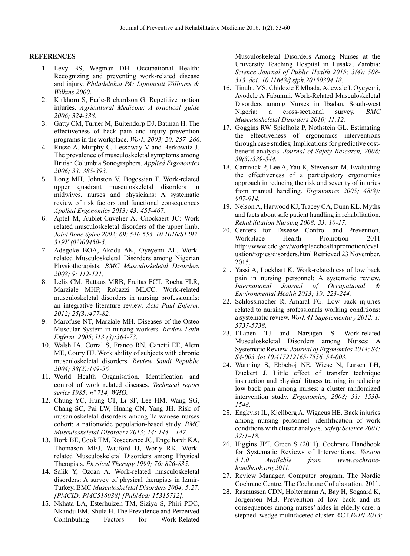#### **REFERENCES**

- 1. Levy BS, Wegman DH. Occupational Health: Recognizing and preventing work-related disease and injury. *Philadelphia PA: Lippincott Williams & Wilkins 2000.*
- 2. Kirkhorn S, Earle-Richardson G. Repetitive motion injuries. *Agricultural Medicine; A practical guide 2006; 324-338.*
- 3. Gatty CM, Turner M, Buitendorp DJ, Batman H. The effectiveness of back pain and injury prevention programs in the workplace. *Work, 2003; 20: 257–266.*
- 4. Russo A, Murphy C, Lessoway V and Berkowitz J. The prevalence of musculoskeletal symptoms among British Columbia Sonographers. *Applied Ergonomics 2006; 33: 385-393.*
- 5. Long MH, Johnston V, Bogossian F. Work-related upper quadrant musculoskeletal disorders in midwives, nurses and physicians: A systematic review of risk factors and functional consequences *Applied Ergonomics 2013; 43: 455-467.*
- 6. Aptel M, Aublet-Cuvelier A, Cnockaert JC: Work related musculoskeletal disorders of the upper limb. *Joint Bone Spine 2002; 69: 546-555. 10.1016/S1297- 319X (02)00450-5.*
- 7. Adegoke BOA, Akodu AK, Oyeyemi AL. Workrelated Musculoskeletal Disorders among Nigerian Physiotherapists. *BMC Musculoskeletal Disorders 2008; 9: 112-121.*
- 8. Lelis CM, Battaus MRB, Freitas FCT, Rocha FLR, Marziale MHP, Robazzi MLCC. Work-related musculoskeletal disorders in nursing professionals: an integrative literature review. *Acta Paul Enferm. 2012; 25(3):477-82.*
- 9. Marofuse NT, Marziale MH. Diseases of the Osteo Muscular System in nursing workers. *Review Latin Enferm. 2005; l13 (3):364-73.*
- 10. Walsh IA, Corral S, Franco RN, Canetti EE, Alem ME, Coury HJ. Work ability of subjects with chronic musculoskeletal disorders. *Review Saudi Republic 2004; 38(2):149-56.*
- 11. World Health Organisation. Identification and control of work related diseases. *Technical report series 1985; nº 714, WHO.*
- 12. Chung YC, Hung CT, Li SF, Lee HM, Wang SG, Chang SC, Pai LW, Huang CN, Yang JH. Risk of musculoskeletal disorders among Taiwanese nurses cohort: a nationwide population-based study. *BMC Musculoskeletal Disorders 2013; 14: 144 – 147.*
- 13. Bork BE, Cook TM, Rosecrance JC, Engelhardt KA, Thomason MEJ, Wauford IJ, Worly RK. Workrelated Musculoskeletal Disorders among Physical Therapists. *Physical Therapy 1999; 76: 826-835.*
- 14. Salik Y, Ozcan A. Work-related musculoskeletal disorders: A survey of physical therapists in Izmir-Turkey. BMC *Musculoskeletal Disorders 2004; 5:27. [PMCID: PMC516038] [PubMed: 15315712].*
- 15. Nkhata LA, Esterhuizen TM, Siziya S, Phiri PDC, Nkandu EM, Shula H. The Prevalence and Perceived Contributing Factors for Work-Related

Musculoskeletal Disorders Among Nurses at the University Teaching Hospital in Lusaka, Zambia: *Science Journal of Public Health 2015; 3(4): 508- 513. doi: 10.11648/j.sjph.20150304.18.*

- 16. Tinubu MS, Chidozie E Mbada, Adewale L Oyeyemi, Ayodele A Fabunmi. Work-Related Musculoskeletal Disorders among Nurses in Ibadan, South-west Nigeria: a cross-sectional survey. *BMC Musculoskeletal Disorders 2010; 11:12.*
- 17. Goggins RW Spielholz P, Nothstein GL. Estimating the effectiveness of ergonomics interventions through case studies; Implications for predictive costbenefit analysis. *Journal of Safety Research, 2008; 39(3):339-344.*
- 18. Carrivick P, Lee A, Yau K, Stevenson M. Evaluating the effectiveness of a participatory ergonomics approach in reducing the risk and severity of injuries from manual handling. *Ergonomics 2005; 48(8): 907-914.*
- 19. Nelson A, Harwood KJ, Tracey CA, Dunn KL. Myths and facts about safe patient handling in rehabilitation. *Rehabilitation Nursing 2008; 33: 10-17.*
- 20. Centers for Disease Control and Prevention. Workplace Health Promotion 2011 [http://www.cdc.gov/workplacehealthpromotion/eval](http://www.cdc.gov/workplacehealthpromotion/evaluation/topics/disorders.html) [uation/topics/disorders.html](http://www.cdc.gov/workplacehealthpromotion/evaluation/topics/disorders.html) Retrieved 23 November, 2015.
- 21. Yassi A, Lockhart K. Work-relatedness of low back pain in nursing personnel: A systematic review. *International Journal of Occupational & Environmental Health 2013; 19: 223-244.*
- 22. Schlossmacher R, Amaral FG. Low back injuries related to nursing professionals working conditions: a systematic review. *Work 41 Supplementary 2012; 1: 5737-5738.*
- 23. Ellapen TJ and Narsigen S. Work-related Musculoskeletal Disorders among Nurses: A Systematic Review. *Journal of Ergonomics 2014; S4: S4-003 doi 10.417212165-7556. 54-003.*
- 24. Warming S, Ebbehøj NE, Wiese N, Larsen LH, Duckert J. Little effect of transfer technique instruction and physical fitness training in reducing low back pain among nurses: a cluster randomized intervention study. *Ergonomics, 2008; 51: 1530- 1548.*
- 25. Engkvist IL, Kjellberg A, Wigaeus HE. Back injuries among nursing personnel- identification of work conditions with cluster analysis. *Safety Science 2001; 37:1–18.*
- 26. Higgins JPT, Green S (2011). Cochrane Handbook for Systematic Reviews of Interventions. *Version 5.1.0 Available from [www.cochrane](http://www.cochrane-handbook.org.2011/)[handbook.org.2011.](http://www.cochrane-handbook.org.2011/)*
- 27. Review Manager. Computer program. The Nordic Cochrane Centre. The Cochrane Collaboration, 2011.
- 28. Rasmussen CDN, Holtermann A, Bay H, Sogaard K, Jorgensen MB. Prevention of low back and its consequences among nurses' aides in elderly care: a stepped–wedge multifaceted cluster-RCT.*PAIN 2013;*